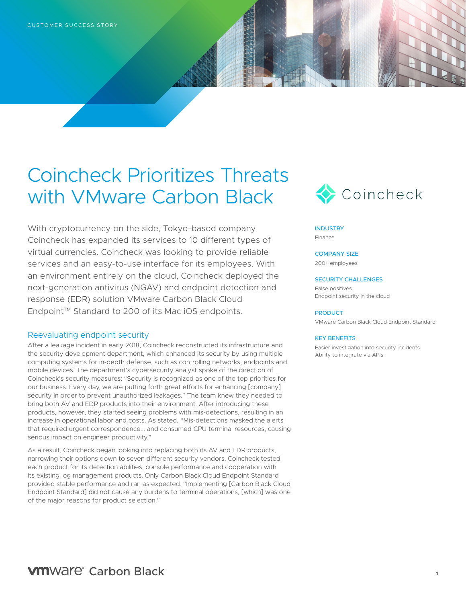# Coincheck Prioritizes Threats with VMware Carbon Black

With cryptocurrency on the side, Tokyo-based company Coincheck has expanded its services to 10 different types of virtual currencies. Coincheck was looking to provide reliable services and an easy-to-use interface for its employees. With an environment entirely on the cloud, Coincheck deployed the next-generation antivirus (NGAV) and endpoint detection and response (EDR) solution VMware Carbon Black Cloud Endpoint™ Standard to 200 of its Mac iOS endpoints.

## Reevaluating endpoint security

After a leakage incident in early 2018, Coincheck reconstructed its infrastructure and the security development department, which enhanced its security by using multiple computing systems for in-depth defense, such as controlling networks, endpoints and mobile devices. The department's cybersecurity analyst spoke of the direction of Coincheck's security measures: "Security is recognized as one of the top priorities for our business. Every day, we are putting forth great efforts for enhancing [company] security in order to prevent unauthorized leakages." The team knew they needed to bring both AV and EDR products into their environment. After introducing these products, however, they started seeing problems with mis-detections, resulting in an increase in operational labor and costs. As stated, "Mis-detections masked the alerts that required urgent correspondence... and consumed CPU terminal resources, causing serious impact on engineer productivity."

As a result, Coincheck began looking into replacing both its AV and EDR products, narrowing their options down to seven different security vendors. Coincheck tested each product for its detection abilities, console performance and cooperation with its existing log management products. Only Carbon Black Cloud Endpoint Standard provided stable performance and ran as expected. "Implementing [Carbon Black Cloud Endpoint Standard] did not cause any burdens to terminal operations, [which] was one of the major reasons for product selection."



#### **INDUSTRY** Finance

COMPANY SIZE

200+ employees

#### SECURITY CHALLENGES

False positives Endpoint security in the cloud

#### PRODUCT

VMware Carbon Black Cloud Endpoint Standard

#### KEY BENEFITS

Easier investigation into security incidents Ability to integrate via APIs